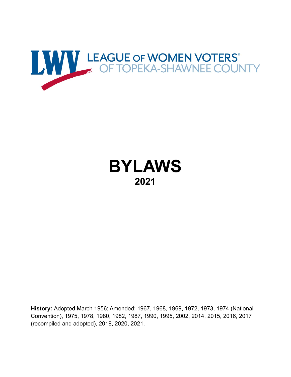



**History:** Adopted March 1956; Amended: 1967, 1968, 1969, 1972, 1973, 1974 (National Convention), 1975, 1978, 1980, 1982, 1987, 1990, 1995, 2002, 2014, 2015, 2016, 2017 (recompiled and adopted), 2018, 2020, 2021.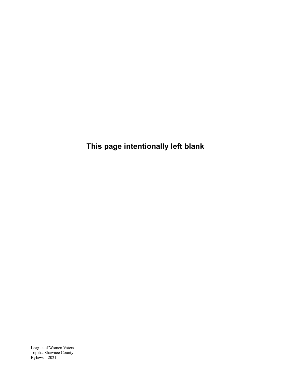**This page intentionally left blank**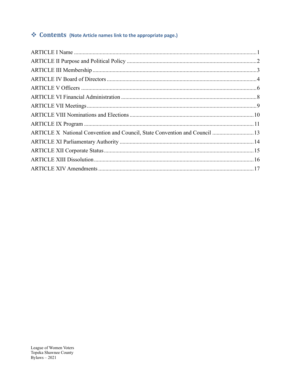# ❖ Contents (Note Article names link to the appropriate page.)

| ARTICLE X National Convention and Council, State Convention and Council  13 |  |
|-----------------------------------------------------------------------------|--|
|                                                                             |  |
|                                                                             |  |
|                                                                             |  |
|                                                                             |  |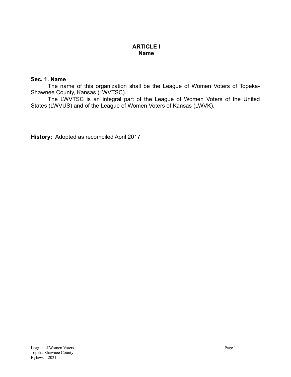#### **ARTICLE I Name**

#### <span id="page-3-0"></span>**Sec. 1. Name**

The name of this organization shall be the League of Women Voters of Topeka-Shawnee County, Kansas (LWVTSC).

The LWVTSC is an integral part of the League of Women Voters of the United States (LWVUS) and of the League of Women Voters of Kansas (LWVK).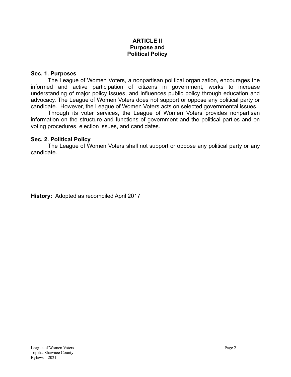## **ARTICLE II Purpose and Political Policy**

#### <span id="page-4-0"></span>**Sec. 1. Purposes**

The League of Women Voters, a nonpartisan political organization, encourages the informed and active participation of citizens in government, works to increase understanding of major policy issues, and influences public policy through education and advocacy. The League of Women Voters does not support or oppose any political party or candidate. However, the League of Women Voters acts on selected governmental issues.

Through its voter services, the League of Women Voters provides nonpartisan information on the structure and functions of government and the political parties and on voting procedures, election issues, and candidates.

#### **Sec. 2. Political Policy**

The League of Women Voters shall not support or oppose any political party or any candidate.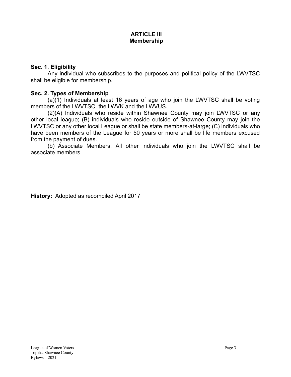# **ARTICLE III Membership**

## <span id="page-5-0"></span>**Sec. 1. Eligibility**

Any individual who subscribes to the purposes and political policy of the LWVTSC shall be eligible for membership.

## **Sec. 2. Types of Membership**

(a)(1) Individuals at least 16 years of age who join the LWVTSC shall be voting members of the LWVTSC, the LWVK and the LWVUS.

(2)(A) Individuals who reside within Shawnee County may join LWVTSC or any other local league; (B) individuals who reside outside of Shawnee County may join the LWVTSC or any other local League or shall be state members-at-large; (C) individuals who have been members of the League for 50 years or more shall be life members excused from the payment of dues.

(b) Associate Members. All other individuals who join the LWVTSC shall be associate members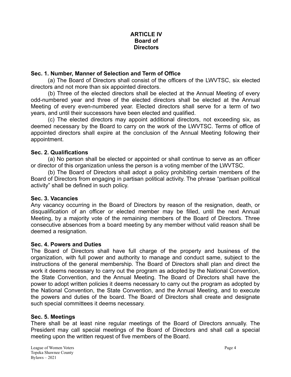## **ARTICLE IV Board of Directors**

## <span id="page-6-0"></span>**Sec. 1. Number, Manner of Selection and Term of Office**

(a) The Board of Directors shall consist of the officers of the LWVTSC, six elected directors and not more than six appointed directors.

(b) Three of the elected directors shall be elected at the Annual Meeting of every odd-numbered year and three of the elected directors shall be elected at the Annual Meeting of every even-numbered year. Elected directors shall serve for a term of two years, and until their successors have been elected and qualified.

(c) The elected directors may appoint additional directors, not exceeding six, as deemed necessary by the Board to carry on the work of the LWVTSC. Terms of office of appointed directors shall expire at the conclusion of the Annual Meeting following their appointment.

#### **Sec. 2. Qualifications**

(a) No person shall be elected or appointed or shall continue to serve as an officer or director of this organization unless the person is a voting member of the LWVTSC.

(b) The Board of Directors shall adopt a policy prohibiting certain members of the Board of Directors from engaging in partisan political activity. The phrase "partisan political activity" shall be defined in such policy.

#### **Sec. 3. Vacancies**

Any vacancy occurring in the Board of Directors by reason of the resignation, death, or disqualification of an officer or elected member may be filled, until the next Annual Meeting, by a majority vote of the remaining members of the Board of Directors. Three consecutive absences from a board meeting by any member without valid reason shall be deemed a resignation.

#### **Sec. 4. Powers and Duties**

The Board of Directors shall have full charge of the property and business of the organization, with full power and authority to manage and conduct same, subject to the instructions of the general membership. The Board of Directors shall plan and direct the work it deems necessary to carry out the program as adopted by the National Convention, the State Convention, and the Annual Meeting. The Board of Directors shall have the power to adopt written policies it deems necessary to carry out the program as adopted by the National Convention, the State Convention, and the Annual Meeting, and to execute the powers and duties of the board. The Board of Directors shall create and designate such special committees it deems necessary.

#### **Sec. 5. Meetings**

There shall be at least nine regular meetings of the Board of Directors annually. The President may call special meetings of the Board of Directors and shall call a special meeting upon the written request of five members of the Board.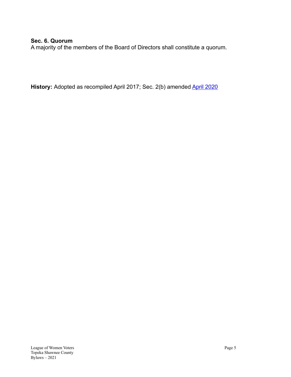## **Sec. 6. Quorum**

A majority of the members of the Board of Directors shall constitute a quorum.

History: Adopted as recompiled April 2017; Sec. 2(b) amended [April 2020](https://www.lwvtsc.org/wp-content/uploads/2021/06/2_2020-Annual-Meeting-Booklet.pdf)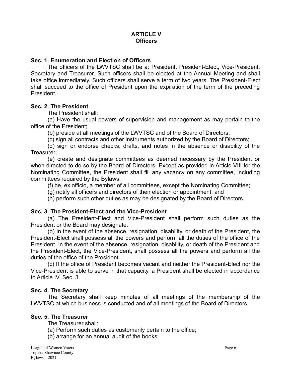# **ARTICLE V Officers**

## <span id="page-8-0"></span>**Sec. 1. Enumeration and Election of Officers**

The officers of the LWVTSC shall be a: President, President-Elect, Vice-President, Secretary and Treasurer. Such officers shall be elected at the Annual Meeting and shall take office immediately. Such officers shall serve a term of two years. The President-Elect shall succeed to the office of President upon the expiration of the term of the preceding President.

#### **Sec. 2. The President**

The President shall:

(a) Have the usual powers of supervision and management as may pertain to the office of the President;

(b) preside at all meetings of the LWVTSC and of the Board of Directors;

(c) sign all contracts and other instruments authorized by the Board of Directors;

(d) sign or endorse checks, drafts, and notes in the absence or disability of the Treasurer;

(e) create and designate committees as deemed necessary by the President or when directed to do so by the Board of Directors. Except as provided in Article VIII for the Nominating Committee, the President shall fill any vacancy on any committee, including committees required by the Bylaws;

(f) be, ex officio, a member of all committees, except the Nominating Committee;

(g) notify all officers and directors of their election or appointment; and

(h) perform such other duties as may be designated by the Board of Directors.

#### **Sec. 3. The President-Elect and the Vice-President**

(a) The President-Elect and Vice-President shall perform such duties as the President or the Board may designate.

(b) In the event of the absence, resignation, disability, or death of the President, the President-Elect shall possess all the powers and perform all the duties of the office of the President. In the event of the absence, resignation, disability, or death of the President and the President-Elect, the Vice-President, shall possess all the powers and perform all the duties of the office of the President.

(c) If the office of President becomes vacant and neither the President-Elect nor the Vice-President is able to serve in that capacity, a President shall be elected in accordance to Article IV, Sec. 3.

#### **Sec. 4. The Secretary**

The Secretary shall keep minutes of all meetings of the membership of the LWVTSC at which business is conducted and of all meetings of the Board of Directors.

#### **Sec. 5. The Treasurer**

The Treasurer shall:

(a) Perform such duties as customarily pertain to the office;

(b) arrange for an annual audit of the books;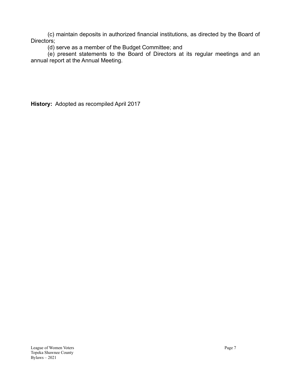(c) maintain deposits in authorized financial institutions, as directed by the Board of Directors;

(d) serve as a member of the Budget Committee; and

(e) present statements to the Board of Directors at its regular meetings and an annual report at the Annual Meeting.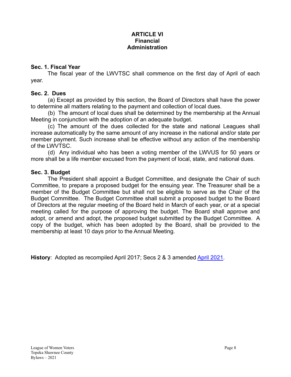## **ARTICLE VI Financial Administration**

## <span id="page-10-0"></span>**Sec. 1. Fiscal Year**

The fiscal year of the LWVTSC shall commence on the first day of April of each year.

# **Sec. 2. Dues**

(a) Except as provided by this section, the Board of Directors shall have the power to determine all matters relating to the payment and collection of local dues.

(b) The amount of local dues shall be determined by the membership at the Annual Meeting in conjunction with the adoption of an adequate budget.

(c) The amount of the dues collected for the state and national Leagues shall increase automatically by the same amount of any increase in the national and/or state per member payment. Such increase shall be effective without any action of the membership of the LWVTSC.

(d) Any individual who has been a voting member of the LWVUS for 50 years or more shall be a life member excused from the payment of local, state, and national dues.

## **Sec. 3. Budget**

The President shall appoint a Budget Committee, and designate the Chair of such Committee, to prepare a proposed budget for the ensuing year. The Treasurer shall be a member of the Budget Committee but shall not be eligible to serve as the Chair of the Budget Committee. The Budget Committee shall submit a proposed budget to the Board of Directors at the regular meeting of the Board held in March of each year, or at a special meeting called for the purpose of approving the budget. The Board shall approve and adopt, or amend and adopt, the proposed budget submitted by the Budget Committee. A copy of the budget, which has been adopted by the Board, shall be provided to the membership at least 10 days prior to the Annual Meeting.

**History**: Adopted as recompiled April 2017; Secs 2 & 3 amended [April 2021.](https://www.lwvtsc.org/wp-content/uploads/2021/06/2021-Annual-Meeting-Booklet-2.0.pdf)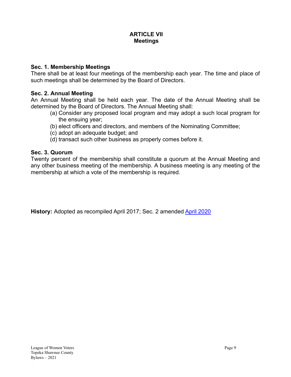# **ARTICLE VII Meetings**

## <span id="page-11-0"></span>**Sec. 1. Membership Meetings**

There shall be at least four meetings of the membership each year. The time and place of such meetings shall be determined by the Board of Directors.

## **Sec. 2. Annual Meeting**

An Annual Meeting shall be held each year. The date of the Annual Meeting shall be determined by the Board of Directors. The Annual Meeting shall:

- (a) Consider any proposed local program and may adopt a such local program for the ensuing year;
- (b) elect officers and directors, and members of the Nominating Committee;
- (c) adopt an adequate budget; and
- (d) transact such other business as properly comes before it.

## **Sec. 3. Quorum**

Twenty percent of the membership shall constitute a quorum at the Annual Meeting and any other business meeting of the membership. A business meeting is any meeting of the membership at which a vote of the membership is required.

History: Adopted as recompiled April 2017; Sec. 2 amende[d April 2020](https://drive.google.com/open?id=1uCL2EEd-Ai00GrgWrJVfkYqrg8b-L05m)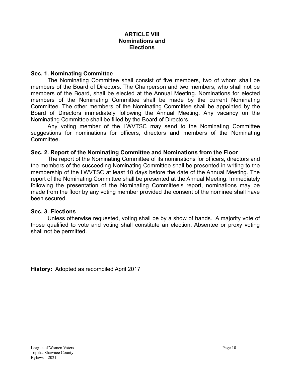#### **ARTICLE VIII Nominations and Elections**

#### <span id="page-12-0"></span>**Sec. 1. Nominating Committee**

The Nominating Committee shall consist of five members, two of whom shall be members of the Board of Directors. The Chairperson and two members, who shall not be members of the Board, shall be elected at the Annual Meeting. Nominations for elected members of the Nominating Committee shall be made by the current Nominating Committee. The other members of the Nominating Committee shall be appointed by the Board of Directors immediately following the Annual Meeting. Any vacancy on the Nominating Committee shall be filled by the Board of Directors.

Any voting member of the LWVTSC may send to the Nominating Committee suggestions for nominations for officers, directors and members of the Nominating Committee.

#### **Sec. 2. Report of the Nominating Committee and Nominations from the Floor**

The report of the Nominating Committee of its nominations for officers, directors and the members of the succeeding Nominating Committee shall be presented in writing to the membership of the LWVTSC at least 10 days before the date of the Annual Meeting. The report of the Nominating Committee shall be presented at the Annual Meeting. Immediately following the presentation of the Nominating Committee's report, nominations may be made from the floor by any voting member provided the consent of the nominee shall have been secured.

#### **Sec. 3. Elections**

Unless otherwise requested, voting shall be by a show of hands. A majority vote of those qualified to vote and voting shall constitute an election. Absentee or proxy voting shall not be permitted.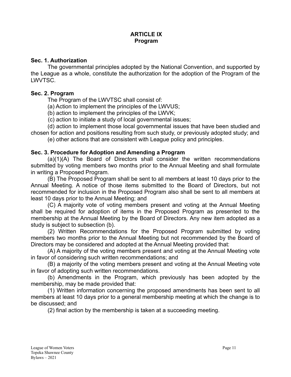# **ARTICLE IX Program**

## <span id="page-13-0"></span>**Sec. 1. Authorization**

The governmental principles adopted by the National Convention, and supported by the League as a whole, constitute the authorization for the adoption of the Program of the LWVTSC.

## **Sec. 2. Program**

The Program of the LWVTSC shall consist of:

(a) Action to implement the principles of the LWVUS;

(b) action to implement the principles of the LWVK;

(c) action to initiate a study of local governmental issues;

(d) action to implement those local governmental issues that have been studied and chosen for action and positions resulting from such study, or previously adopted study; and

(e) other actions that are consistent with League policy and principles.

## **Sec. 3. Procedure for Adoption and Amending a Program**

(a)(1)(A) The Board of Directors shall consider the written recommendations submitted by voting members two months prior to the Annual Meeting and shall formulate in writing a Proposed Program.

(B) The Proposed Program shall be sent to all members at least 10 days prior to the Annual Meeting. A notice of those items submitted to the Board of Directors, but not recommended for inclusion in the Proposed Program also shall be sent to all members at least 10 days prior to the Annual Meeting; and

(C) A majority vote of voting members present and voting at the Annual Meeting shall be required for adoption of items in the Proposed Program as presented to the membership at the Annual Meeting by the Board of Directors. Any new item adopted as a study is subject to subsection (b).

(2) Written Recommendations for the Proposed Program submitted by voting members two months prior to the Annual Meeting but not recommended by the Board of Directors may be considered and adopted at the Annual Meeting provided that:

(A) A majority of the voting members present and voting at the Annual Meeting vote in favor of considering such written recommendations; and

(B) a majority of the voting members present and voting at the Annual Meeting vote in favor of adopting such written recommendations.

(b) Amendments in the Program, which previously has been adopted by the membership, may be made provided that:

(1) Written information concerning the proposed amendments has been sent to all members at least 10 days prior to a general membership meeting at which the change is to be discussed; and

(2) final action by the membership is taken at a succeeding meeting.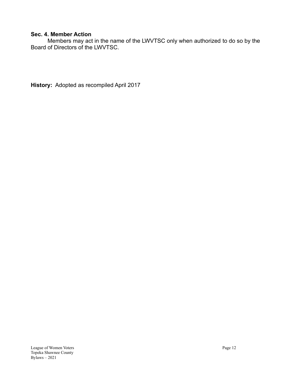## **Sec. 4. Member Action**

Members may act in the name of the LWVTSC only when authorized to do so by the Board of Directors of the LWVTSC.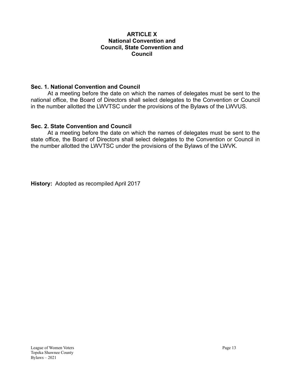## **ARTICLE X National Convention and Council, State Convention and Council**

#### <span id="page-15-0"></span>**Sec. 1. National Convention and Council**

At a meeting before the date on which the names of delegates must be sent to the national office, the Board of Directors shall select delegates to the Convention or Council in the number allotted the LWVTSC under the provisions of the Bylaws of the LWVUS.

#### **Sec. 2. State Convention and Council**

At a meeting before the date on which the names of delegates must be sent to the state office, the Board of Directors shall select delegates to the Convention or Council in the number allotted the LWVTSC under the provisions of the Bylaws of the LWVK.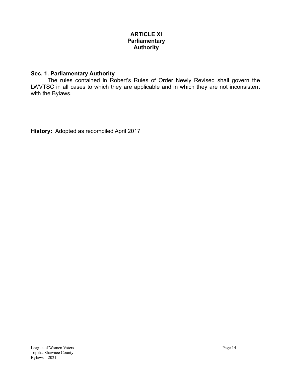## **ARTICLE XI Parliamentary Authority**

## <span id="page-16-0"></span>**Sec. 1. Parliamentary Authority**

The rules contained in Robert's Rules of Order Newly Revised shall govern the LWVTSC in all cases to which they are applicable and in which they are not inconsistent with the Bylaws.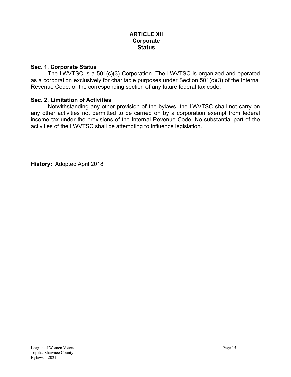## **ARTICLE XII Corporate Status**

#### <span id="page-17-0"></span>**Sec. 1. Corporate Status**

The LWVTSC is a 501(c)(3) Corporation. The LWVTSC is organized and operated as a corporation exclusively for charitable purposes under Section 501(c)(3) of the Internal Revenue Code, or the corresponding section of any future federal tax code.

# **Sec. 2. Limitation of Activities**

Notwithstanding any other provision of the bylaws, the LWVTSC shall not carry on any other activities not permitted to be carried on by a corporation exempt from federal income tax under the provisions of the Internal Revenue Code. No substantial part of the activities of the LWVTSC shall be attempting to influence legislation.

**History:** Adopted April 2018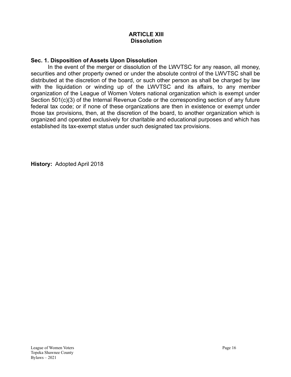# **ARTICLE XIII Dissolution**

# <span id="page-18-0"></span>**Sec. 1. Disposition of Assets Upon Dissolution**

In the event of the merger or dissolution of the LWVTSC for any reason, all money, securities and other property owned or under the absolute control of the LWVTSC shall be distributed at the discretion of the board, or such other person as shall be charged by law with the liquidation or winding up of the LWVTSC and its affairs, to any member organization of the League of Women Voters national organization which is exempt under Section 501(c)(3) of the Internal Revenue Code or the corresponding section of any future federal tax code; or if none of these organizations are then in existence or exempt under those tax provisions, then, at the discretion of the board, to another organization which is organized and operated exclusively for charitable and educational purposes and which has established its tax-exempt status under such designated tax provisions.

**History:** Adopted April 2018